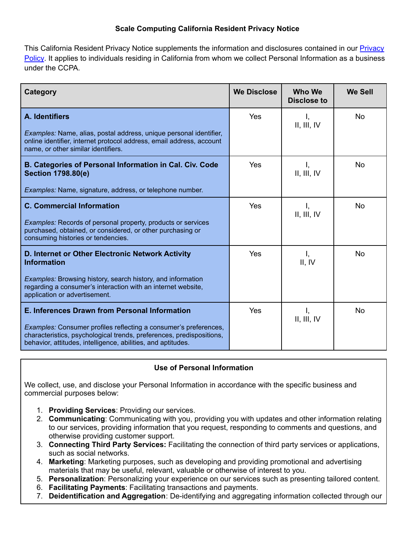### **Scale Computing California Resident Privacy Notice**

This California Resident [Privacy](https://www.scalecomputing.com/support/privacy?p=privacy) Notice supplements the information and disclosures contained in our **Privacy** [Policy](https://www.scalecomputing.com/support/privacy?p=privacy). It applies to individuals residing in California from whom we collect Personal Information as a business under the CCPA.

| Category                                                                                                                                                                                                 | <b>We Disclose</b> | <b>Who We</b><br><b>Disclose to</b> | <b>We Sell</b> |
|----------------------------------------------------------------------------------------------------------------------------------------------------------------------------------------------------------|--------------------|-------------------------------------|----------------|
| A. Identifiers                                                                                                                                                                                           | Yes                | Ι,<br>II, III, IV                   | No.            |
| Examples: Name, alias, postal address, unique personal identifier,<br>online identifier, internet protocol address, email address, account<br>name, or other similar identifiers.                        |                    |                                     |                |
| B. Categories of Personal Information in Cal. Civ. Code<br><b>Section 1798.80(e)</b>                                                                                                                     | Yes                | Ι,<br>II, III, IV                   | No             |
| Examples: Name, signature, address, or telephone number.                                                                                                                                                 |                    |                                     |                |
| <b>C. Commercial Information</b>                                                                                                                                                                         | Yes                | Ι,<br>II, III, IV                   | <b>No</b>      |
| <b>Examples:</b> Records of personal property, products or services<br>purchased, obtained, or considered, or other purchasing or<br>consuming histories or tendencies.                                  |                    |                                     |                |
| D. Internet or Other Electronic Network Activity<br><b>Information</b>                                                                                                                                   | Yes                | Ι,<br>II, IV                        | No             |
| Examples: Browsing history, search history, and information<br>regarding a consumer's interaction with an internet website,<br>application or advertisement.                                             |                    |                                     |                |
| E. Inferences Drawn from Personal Information                                                                                                                                                            | Yes                | Ι,<br>II, III, IV                   | <b>No</b>      |
| Examples: Consumer profiles reflecting a consumer's preferences,<br>characteristics, psychological trends, preferences, predispositions,<br>behavior, attitudes, intelligence, abilities, and aptitudes. |                    |                                     |                |

## **Use of Personal Information**

We collect, use, and disclose your Personal Information in accordance with the specific business and commercial purposes below:

- 1. **Providing Services**: Providing our services.
- 2. **Communicating**: Communicating with you, providing you with updates and other information relating to our services, providing information that you request, responding to comments and questions, and otherwise providing customer support.
- 3. **Connecting Third Party Services:** Facilitating the connection of third party services or applications, such as social networks.
- 4. **Marketing**: Marketing purposes, such as developing and providing promotional and advertising materials that may be useful, relevant, valuable or otherwise of interest to you.
- 5. **Personalization**: Personalizing your experience on our services such as presenting tailored content.
- 6. **Facilitating Payments**: Facilitating transactions and payments.
- 7. **Deidentification and Aggregation**: De-identifying and aggregating information collected through our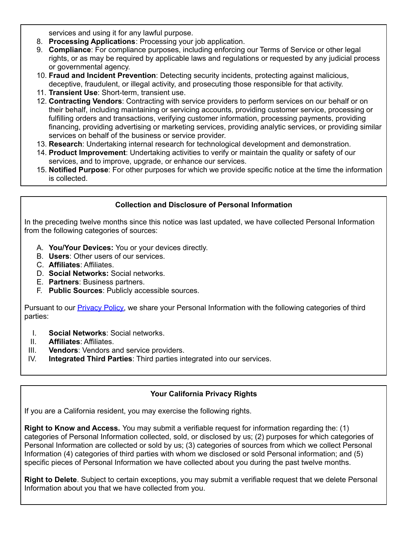services and using it for any lawful purpose.

- 8. **Processing Applications**: Processing your job application.
- 9. **Compliance**: For compliance purposes, including enforcing our Terms of Service or other legal rights, or as may be required by applicable laws and regulations or requested by any judicial process or governmental agency.
- 10. **Fraud and Incident Prevention**: Detecting security incidents, protecting against malicious, deceptive, fraudulent, or illegal activity, and prosecuting those responsible for that activity.
- 11. **Transient Use**: Short-term, transient use.
- 12. **Contracting Vendors**: Contracting with service providers to perform services on our behalf or on their behalf, including maintaining or servicing accounts, providing customer service, processing or fulfilling orders and transactions, verifying customer information, processing payments, providing financing, providing advertising or marketing services, providing analytic services, or providing similar services on behalf of the business or service provider.
- 13. **Research**: Undertaking internal research for technological development and demonstration.
- 14. **Product Improvement**: Undertaking activities to verify or maintain the quality or safety of our services, and to improve, upgrade, or enhance our services.
- 15. **Notified Purpose**: For other purposes for which we provide specific notice at the time the information is collected.

# **Collection and Disclosure of Personal Information**

In the preceding twelve months since this notice was last updated, we have collected Personal Information from the following categories of sources:

- A. **You/Your Devices:** You or your devices directly.
- B. **Users**: Other users of our services.
- C. **Affiliates**: Affiliates.
- D. **Social Networks:** Social networks.
- E. **Partners**: Business partners.
- F. **Public Sources**: Publicly accessible sources.

Pursuant to our [Privacy](https://www.scalecomputing.com/support/privacy?p=privacy) Policy, we share your Personal Information with the following categories of third parties:

- I. **Social Networks**: Social networks.
- II. **Affiliates**: Affiliates.
- III. **Vendors**: Vendors and service providers.
- IV. **Integrated Third Parties**: Third parties integrated into our services.

## **Your California Privacy Rights**

If you are a California resident, you may exercise the following rights.

**Right to Know and Access.** You may submit a verifiable request for information regarding the: (1) categories of Personal Information collected, sold, or disclosed by us; (2) purposes for which categories of Personal Information are collected or sold by us; (3) categories of sources from which we collect Personal Information (4) categories of third parties with whom we disclosed or sold Personal information; and (5) specific pieces of Personal Information we have collected about you during the past twelve months.

**Right to Delete**. Subject to certain exceptions, you may submit a verifiable request that we delete Personal Information about you that we have collected from you.